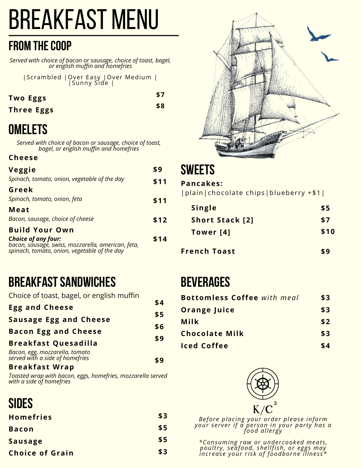## Breakfast Menu

#### **FROM THE COOP**

*Served with choice of bacon or sausage, choice of toast, bagel, or english muffin and homefries*

|Scrambled |Over Easy |Over Medium | |Sunny Side |

**Two Eggs**

**\$8**

**\$7**

## **Omelets**

**Three Eggs**

*Served with choice of bacon or sausage, choice of toast, bagel, or english muffin and homefries*

#### **Cheese**

| Veggie                                                                                             | \$9  | $\boldsymbol{S}$ |
|----------------------------------------------------------------------------------------------------|------|------------------|
| Spinach, tomato, onion, vegetable of the day                                                       | \$11 | P <sub>i</sub>   |
| Greek                                                                                              |      | l r              |
| Spinach, tomato, onion, feta                                                                       | \$11 |                  |
| Meat                                                                                               |      |                  |
| Bacon, sausage, choice of cheese                                                                   | \$12 |                  |
| <b>Build Your Own</b>                                                                              |      |                  |
| <b>Choice of any four:</b>                                                                         | \$14 |                  |
| bacon, sausage, swiss, mozzarella, american, feta,<br>spinach, tomato, onion, vegetable of the day |      |                  |

#### **BREAKFAST SANDWICHES**

| Choice of toast, bagel, or english muffin                         |     |
|-------------------------------------------------------------------|-----|
| <b>Egg and Cheese</b>                                             | \$4 |
|                                                                   | \$5 |
| <b>Sausage Egg and Cheese</b>                                     | \$6 |
| <b>Bacon Egg and Cheese</b>                                       |     |
| <b>Breakfast Quesadilla</b>                                       | \$9 |
| Bacon, egg, mozzarella, tomato<br>served with a side of homefries | \$9 |
| <b>Breakfast Wrap</b>                                             |     |

*Toasted wrap with bacon, eggs, homefries, mozzarella served with a side of homefries*

#### **Sides**

| <b>Homefries</b>       | \$3 |
|------------------------|-----|
| <b>Bacon</b>           | \$5 |
| <b>Sausage</b>         | \$5 |
| <b>Choice of Grain</b> | \$3 |



#### **Sweets**

#### **\$11 Pancakes:**

| plain | chocolate chips | blueberry +\$1|

| <b>Single</b>          | \$5  |
|------------------------|------|
| <b>Short Stack [2]</b> | \$7  |
| Tower [4]              | \$10 |
| <b>French Toast</b>    | \$9  |

#### **Beverages**

| <b>Bottomless Coffee</b> with meal | \$3 |
|------------------------------------|-----|
| <b>Orange Juice</b>                | \$3 |
| Milk                               | \$2 |
| <b>Chocolate Milk</b>              | \$3 |
| <b>Iced Coffee</b>                 | \$4 |



*Before placing your order please inform your server if a per son in your party has a food allergy*

*\*Consuming raw or undercooked meat s , poultry, seafood, shellfi sh, or eggs may increase your ri sk of foodborne illnes s\**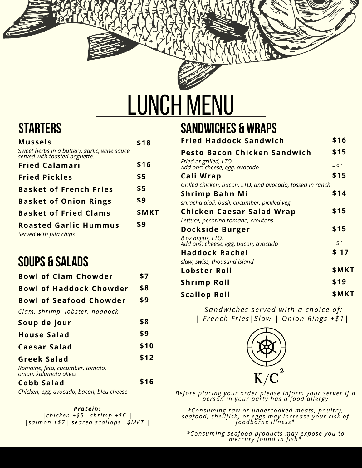# LUNCH MENU

### **Starters**

| \$18  |
|-------|
|       |
| \$16  |
| \$5   |
| \$5   |
| \$9   |
| \$MKT |
| \$9   |
|       |

#### **Soups & Salads**

| <b>Bowl of Clam Chowder</b>                                | \$7  |
|------------------------------------------------------------|------|
| <b>Bowl of Haddock Chowder</b>                             | \$8  |
| <b>Bowl of Seafood Chowder</b>                             | \$9  |
| Clam, shrimp, lobster, haddock                             |      |
| Soup de jour                                               | \$8  |
| <b>House Salad</b>                                         | \$9  |
| Caesar Salad                                               | \$10 |
| Greek Salad                                                | \$12 |
| Romaine, feta, cucumber, tomato,<br>onion, kalamata olives |      |
| Cobb Salad                                                 |      |

*Chicken, egg, avocado, bacon, bleu cheese*

*Protein: |chicken +\$5 |shrimp +\$6 | |salmon +\$7| seared scallops +\$MKT |*

#### **Sandwiches & Wraps**

| <b>Fried Haddock Sandwich</b>                             | \$16   |
|-----------------------------------------------------------|--------|
| Pesto Bacon Chicken Sandwich                              | \$15   |
| Fried or grilled, LTO<br>Add ons: cheese, egg, avocado    | $+ $1$ |
| Cali Wrap                                                 | \$15   |
| Grilled chicken, bacon, LTO, and avocado, tossed in ranch |        |
| Shrimp Bahn Mi                                            | \$14   |
| sriracha aioli, basil, cucumber, pickled veg              |        |
| <b>Chicken Caesar Salad Wrap</b>                          | \$15   |
| Lettuce, pecorino romano, croutons                        |        |
| Dockside Burger                                           | \$15   |
| 8 oz angus, LTO,<br>Add ons: cheese, egg, bacon, avocado  | $+ $1$ |
| <b>Haddock Rachel</b>                                     | \$17   |
| slaw, swiss, thousand island                              |        |
| Lobster Roll                                              | \$MKT  |
| <b>Shrimp Roll</b>                                        | \$19   |
| <b>Scallop Roll</b>                                       | \$MKT  |

*Sandwiches served with a choice of: | French Fries|Slaw | Onion Rings +\$1|*



*Before placing your order please inform your server if a per son in your party has a food allergy*

*\*Consuming raw or undercooked meat s , poultry, seafood, shellfi sh, or eggs may increase your ri sk of foodborne illnes s\**

*\*Consuming seafood product s may expose you to mercury found in fi sh\**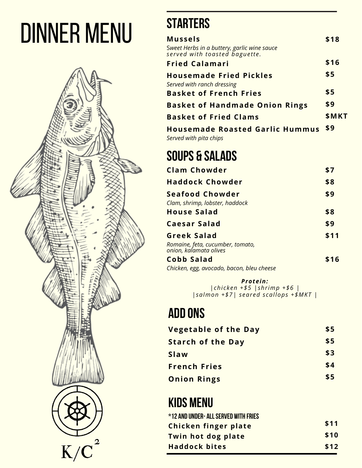# Dinner Menu



## **Starters**

| <b>Mussels</b>                                                               | \$18  |
|------------------------------------------------------------------------------|-------|
| Sweet Herbs in a buttery, garlic wine sauce<br>served with toasted baguette. |       |
| <b>Fried Calamari</b>                                                        | \$16  |
| <b>Housemade Fried Pickles</b><br>Served with ranch dressing                 | \$5   |
| <b>Basket of French Fries</b>                                                | \$5   |
| <b>Basket of Handmade Onion Rings</b>                                        | \$9   |
| <b>Basket of Fried Clams</b>                                                 | \$MKT |
| <b>Housemade Roasted Garlic Hummus</b>                                       | \$9   |

*Served with pita chips*

## **Soups & Salads**

| <b>Clam Chowder</b>                                                              | \$7  |
|----------------------------------------------------------------------------------|------|
| <b>Haddock Chowder</b>                                                           | \$8  |
| <b>Seafood Chowder</b><br>Clam, shrimp, lobster, haddock                         | \$9  |
| <b>House Salad</b>                                                               | \$8  |
| <b>Caesar Salad</b>                                                              | \$9  |
| <b>Greek Salad</b><br>Romaine, feta, cucumber, tomato,<br>onion, kalamata olives | \$11 |
| Cobb Salad                                                                       |      |

*Chicken, egg, avocado, bacon, bleu cheese*

*Protein: |chicken +\$5 |shrimp +\$6 | |salmon +\$7| seared scallops +\$MKT |*

#### **Add ons**

| <b>Vegetable of the Day</b> | \$5 |
|-----------------------------|-----|
| <b>Starch of the Day</b>    | \$5 |
| Slaw                        | \$3 |
| <b>French Fries</b>         | \$4 |
| <b>Onion Rings</b>          | \$5 |

### **kids menu**

| *12 AND UNDER- ALL SERVED WITH FRIES |      |
|--------------------------------------|------|
| Chicken finger plate                 | \$11 |
| Twin hot dog plate                   | \$10 |
| <b>Haddock bites</b>                 | \$12 |